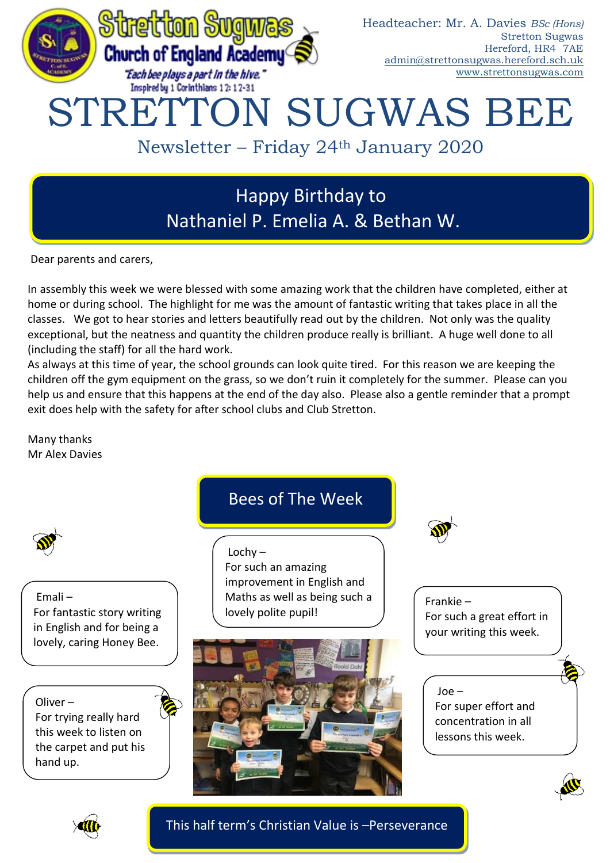

## Happy Birthday to Nathaniel P. Emelia A. & Bethan W.

Dear parents and carers,

In assembly this week we were blessed with some amazing work that the children have completed, either at home or during school. The highlight for me was the amount of fantastic writing that takes place in all the classes. We got to hear stories and letters beautifully read out by the children. Not only was the quality exceptional, but the neatness and quantity the children produce really is brilliant. A huge well done to all (including the staff) for all the hard work.

As always at this time of year, the school grounds can look quite tired. For this reason we are keeping the children off the gym equipment on the grass, so we don't ruin it completely for the summer. Please can you help us and ensure that this happens at the end of the day also. Please also a gentle reminder that a prompt exit does help with the safety for after school clubs and Club Stretton.

Many thanks Mr Alex Davies

Bees of The Week  $Lochy -$ For such an amazing improvement in English and Maths as well as being such a lovely polite pupil! Joe – For super effort and concentration in all lessons this week. Frankie – For such a great effort in your writing this week. Emali – For fantastic story writing in English and for being a lovely, caring Honey Bee. Oliver – For trying really hard this week to listen on the carpet and put his hand up.



This half term's Christian Value is –Perseverance